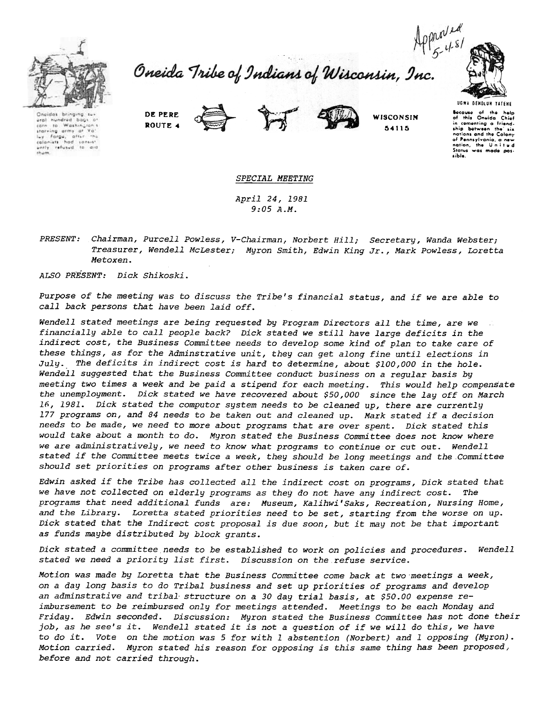



Oneidas bringing sur-<br>ural nundred bags o corn to Washington's<br>starving army of Yo'  $a$ fter luy farge, attur the<br>colonists had consist<br>untly refusud to ard tham.





64115

UGWA BEHOLUH TATEHE Because of the help<br>of this Oneida Chief in comenting a friend<br>ship botween the' six<br>nations and the Colony of Pennsylvania, a new<br>nation, the Uniter<br>Status was made pos ,ibl..

## SPECIAL MEETING

April 24, 1981 9:05 A.M.

PRESENT: Chairman, Purcell Powless, V-Chairman, Norbert Hill; Secretary, Wanda Webster; Treasurer, Wendell McLester; Myron Smith, Edwin King Jr., Mark Powless, Loretta Metoxen.

ALSO PRESENT: Dick Shikoski.

Purpose of the meeting was to discuss the Tribe's financial status, and if we are able to call back persons that have been laid off.

Wendell stated meetings are being requested by Program Directors all the time, are we financially able to call people back? Dick stated we still have large deficits in the indirect cost, the Business Committee needs to develop some kind of plan to take care of these things, as for the Adminstrative unit, they can get along fine until elections in July.. The deficits in indirect cost is hard to determine, about \$100,000 in the hole. Wendell suggested that the Business Committee conduct business on a regular basis by meeting two times a week and be paid a stipend for each meeting. This would help compensate the unemployment. Dick stated we have recovered about \$50,000 since the layoff on March 16, 1981. Dick stated the computor system needs to be cleaned up, there are currently 177 programs on, and 84 needs to be taken out and cleaned up. Mark stated if a decision needs to be made, we need to more about programs that are over spent. Dick stated this would take about a month to do. Myron stated the Business Committee does not know where we are administratively, we need to know what programs to continue or cut out. Wendell stated if the Committee meets twice a week, they should be long meetings and the-Committee should set priorities on programs after other business is taken care of.

Edwin asked if the Tribe has collected all the indirect cost on programs, Dick stated that we have not collected on elderly programs as they do not have any indirect cost. The programs that need additional funds are: Museum, Kalihwi'Saks, Recreation, Nursing Home, and the Library. Loretta stated priorities need to be set, starting from the worse on up. Dick stated that the Indirect cost proposal is due soon, but it may not be that important as funds maybe distributed by block grants.

Dick stated a committee needs to be established to work on policies and procedures. Wendell stated we need a priority list first. Discussion on the refuse service.

Motion was made by Loretta that the Business Committee come back at two 'meetings a week, on a day long basis to do Tribal business and set up priorities of programs and develop an adminstrative and tribal structure on a 30 day trial basis, at \$50.00 expense reimbursement to be reimbursed only for meetings attended. Meetings to be each Monday and Friday. Edwin seconded. Discussion: Myron stated the Business Committee has not done their job, as he see's it. Wendell stated it is not a question of if we will do this, we have to do it. Vote on the motion was 5 for with 1 abstention (Norbert) and 1 opposing (Myron). Motion carried. Myron stated his reason for opposing is this same thing has been proposed; before and not carried through.